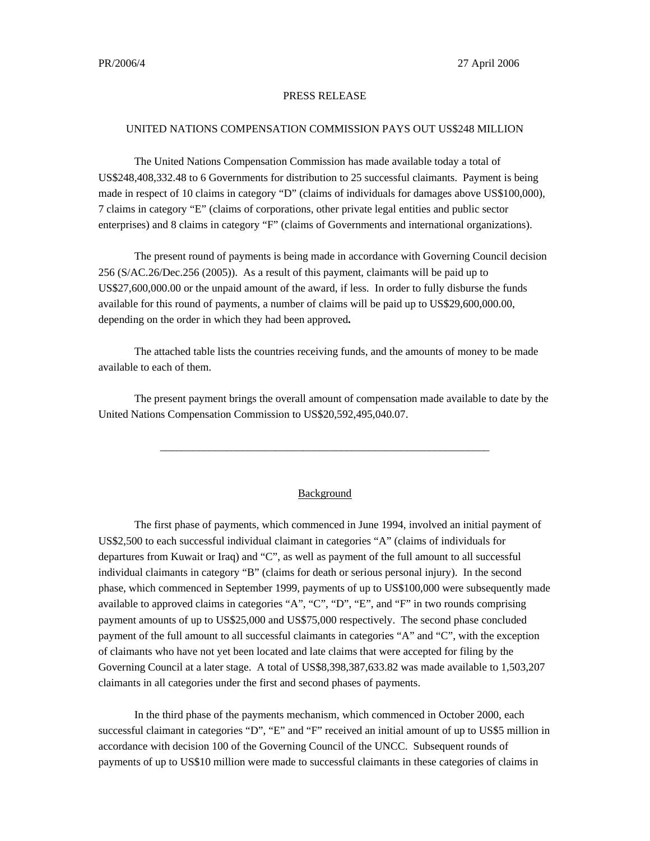## PRESS RELEASE

## UNITED NATIONS COMPENSATION COMMISSION PAYS OUT US\$248 MILLION

The United Nations Compensation Commission has made available today a total of US\$248,408,332.48 to 6 Governments for distribution to 25 successful claimants. Payment is being made in respect of 10 claims in category "D" (claims of individuals for damages above US\$100,000), 7 claims in category "E" (claims of corporations, other private legal entities and public sector enterprises) and 8 claims in category "F" (claims of Governments and international organizations).

The present round of payments is being made in accordance with Governing Council decision 256 (S/AC.26/Dec.256 (2005)). As a result of this payment, claimants will be paid up to US\$27,600,000.00 or the unpaid amount of the award, if less. In order to fully disburse the funds available for this round of payments, a number of claims will be paid up to US\$29,600,000.00, depending on the order in which they had been approved**.** 

The attached table lists the countries receiving funds, and the amounts of money to be made available to each of them.

The present payment brings the overall amount of compensation made available to date by the United Nations Compensation Commission to US\$20,592,495,040.07.

## Background

\_\_\_\_\_\_\_\_\_\_\_\_\_\_\_\_\_\_\_\_\_\_\_\_\_\_\_\_\_\_\_\_\_\_\_\_\_\_\_\_\_\_\_\_\_\_\_\_\_\_\_\_\_\_\_\_\_\_\_\_

The first phase of payments, which commenced in June 1994, involved an initial payment of US\$2,500 to each successful individual claimant in categories "A" (claims of individuals for departures from Kuwait or Iraq) and "C", as well as payment of the full amount to all successful individual claimants in category "B" (claims for death or serious personal injury). In the second phase, which commenced in September 1999, payments of up to US\$100,000 were subsequently made available to approved claims in categories "A", "C", "D", "E", and "F" in two rounds comprising payment amounts of up to US\$25,000 and US\$75,000 respectively. The second phase concluded payment of the full amount to all successful claimants in categories "A" and "C", with the exception of claimants who have not yet been located and late claims that were accepted for filing by the Governing Council at a later stage. A total of US\$8,398,387,633.82 was made available to 1,503,207 claimants in all categories under the first and second phases of payments.

In the third phase of the payments mechanism, which commenced in October 2000, each successful claimant in categories "D", "E" and "F" received an initial amount of up to US\$5 million in accordance with decision 100 of the Governing Council of the UNCC. Subsequent rounds of payments of up to US\$10 million were made to successful claimants in these categories of claims in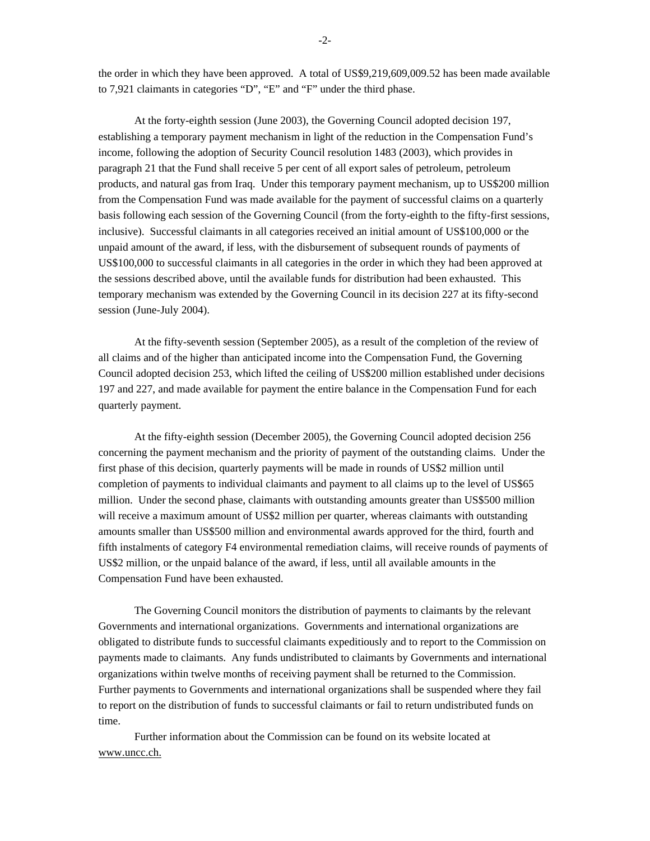the order in which they have been approved. A total of US\$9,219,609,009.52 has been made available to 7,921 claimants in categories "D", "E" and "F" under the third phase.

At the forty-eighth session (June 2003), the Governing Council adopted decision 197, establishing a temporary payment mechanism in light of the reduction in the Compensation Fund's income, following the adoption of Security Council resolution 1483 (2003), which provides in paragraph 21 that the Fund shall receive 5 per cent of all export sales of petroleum, petroleum products, and natural gas from Iraq. Under this temporary payment mechanism, up to US\$200 million from the Compensation Fund was made available for the payment of successful claims on a quarterly basis following each session of the Governing Council (from the forty-eighth to the fifty-first sessions, inclusive). Successful claimants in all categories received an initial amount of US\$100,000 or the unpaid amount of the award, if less, with the disbursement of subsequent rounds of payments of US\$100,000 to successful claimants in all categories in the order in which they had been approved at the sessions described above, until the available funds for distribution had been exhausted. This temporary mechanism was extended by the Governing Council in its decision 227 at its fifty-second session (June-July 2004).

At the fifty-seventh session (September 2005), as a result of the completion of the review of all claims and of the higher than anticipated income into the Compensation Fund, the Governing Council adopted decision 253, which lifted the ceiling of US\$200 million established under decisions 197 and 227, and made available for payment the entire balance in the Compensation Fund for each quarterly payment.

At the fifty-eighth session (December 2005), the Governing Council adopted decision 256 concerning the payment mechanism and the priority of payment of the outstanding claims. Under the first phase of this decision, quarterly payments will be made in rounds of US\$2 million until completion of payments to individual claimants and payment to all claims up to the level of US\$65 million. Under the second phase, claimants with outstanding amounts greater than US\$500 million will receive a maximum amount of US\$2 million per quarter, whereas claimants with outstanding amounts smaller than US\$500 million and environmental awards approved for the third, fourth and fifth instalments of category F4 environmental remediation claims, will receive rounds of payments of US\$2 million, or the unpaid balance of the award, if less, until all available amounts in the Compensation Fund have been exhausted.

The Governing Council monitors the distribution of payments to claimants by the relevant Governments and international organizations. Governments and international organizations are obligated to distribute funds to successful claimants expeditiously and to report to the Commission on payments made to claimants. Any funds undistributed to claimants by Governments and international organizations within twelve months of receiving payment shall be returned to the Commission. Further payments to Governments and international organizations shall be suspended where they fail to report on the distribution of funds to successful claimants or fail to return undistributed funds on time.

Further information about the Commission can be found on its website located at www.uncc.ch.